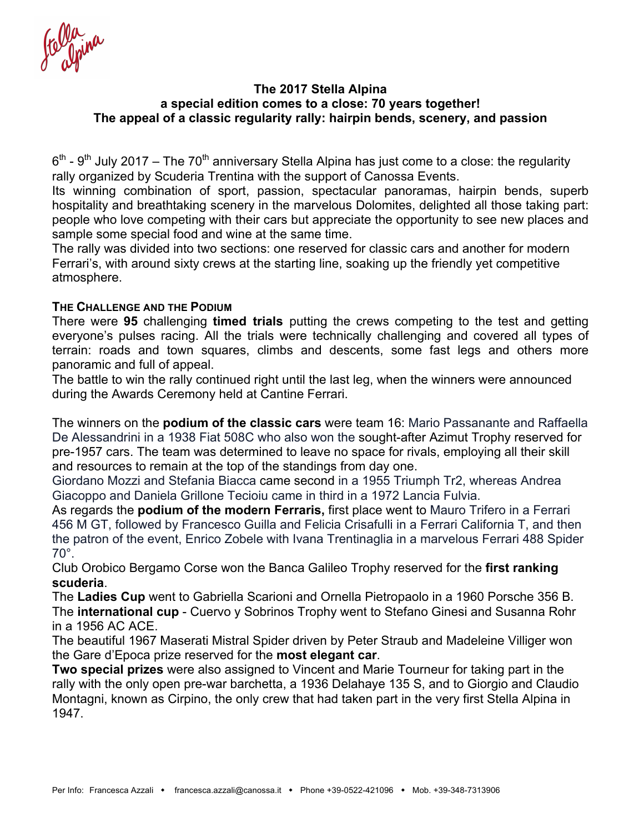#### **The 2017 Stella Alpina a special edition comes to a close: 70 years together! The appeal of a classic regularity rally: hairpin bends, scenery, and passion**

 $6<sup>th</sup>$  - 9<sup>th</sup> July 2017 – The 70<sup>th</sup> anniversary Stella Alpina has just come to a close: the regularity rally organized by Scuderia Trentina with the support of Canossa Events.

Its winning combination of sport, passion, spectacular panoramas, hairpin bends, superb hospitality and breathtaking scenery in the marvelous Dolomites, delighted all those taking part: people who love competing with their cars but appreciate the opportunity to see new places and sample some special food and wine at the same time.

The rally was divided into two sections: one reserved for classic cars and another for modern Ferrari's, with around sixty crews at the starting line, soaking up the friendly yet competitive atmosphere.

### **THE CHALLENGE AND THE PODIUM**

There were **95** challenging **timed trials** putting the crews competing to the test and getting everyone's pulses racing. All the trials were technically challenging and covered all types of terrain: roads and town squares, climbs and descents, some fast legs and others more panoramic and full of appeal.

The battle to win the rally continued right until the last leg, when the winners were announced during the Awards Ceremony held at Cantine Ferrari.

The winners on the **podium of the classic cars** were team 16: Mario Passanante and Raffaella De Alessandrini in a 1938 Fiat 508C who also won the sought-after Azimut Trophy reserved for pre-1957 cars. The team was determined to leave no space for rivals, employing all their skill and resources to remain at the top of the standings from day one.

Giordano Mozzi and Stefania Biacca came second in a 1955 Triumph Tr2, whereas Andrea Giacoppo and Daniela Grillone Tecioiu came in third in a 1972 Lancia Fulvia.

As regards the **podium of the modern Ferraris,** first place went to Mauro Trifero in a Ferrari 456 M GT, followed by Francesco Guilla and Felicia Crisafulli in a Ferrari California T, and then the patron of the event, Enrico Zobele with Ivana Trentinaglia in a marvelous Ferrari 488 Spider 70°.

Club Orobico Bergamo Corse won the Banca Galileo Trophy reserved for the **first ranking scuderia**.

The **Ladies Cup** went to Gabriella Scarioni and Ornella Pietropaolo in a 1960 Porsche 356 B. The **international cup** - Cuervo y Sobrinos Trophy went to Stefano Ginesi and Susanna Rohr in a 1956 AC ACE.

The beautiful 1967 Maserati Mistral Spider driven by Peter Straub and Madeleine Villiger won the Gare d'Epoca prize reserved for the **most elegant car**.

**Two special prizes** were also assigned to Vincent and Marie Tourneur for taking part in the rally with the only open pre-war barchetta, a 1936 Delahaye 135 S, and to Giorgio and Claudio Montagni, known as Cirpino, the only crew that had taken part in the very first Stella Alpina in 1947.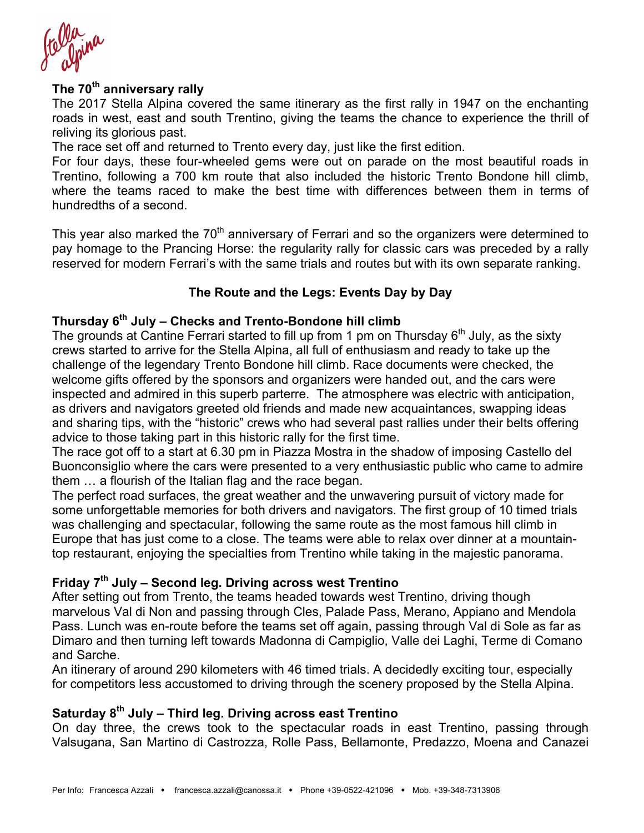# **The 70th anniversary rally**

The 2017 Stella Alpina covered the same itinerary as the first rally in 1947 on the enchanting roads in west, east and south Trentino, giving the teams the chance to experience the thrill of reliving its glorious past.

The race set off and returned to Trento every day, just like the first edition.

For four days, these four-wheeled gems were out on parade on the most beautiful roads in Trentino, following a 700 km route that also included the historic Trento Bondone hill climb, where the teams raced to make the best time with differences between them in terms of hundredths of a second.

This year also marked the 70<sup>th</sup> anniversary of Ferrari and so the organizers were determined to pay homage to the Prancing Horse: the regularity rally for classic cars was preceded by a rally reserved for modern Ferrari's with the same trials and routes but with its own separate ranking.

### **The Route and the Legs: Events Day by Day**

### **Thursday 6th July – Checks and Trento-Bondone hill climb**

The grounds at Cantine Ferrari started to fill up from 1 pm on Thursday  $6<sup>th</sup>$  July, as the sixty crews started to arrive for the Stella Alpina, all full of enthusiasm and ready to take up the challenge of the legendary Trento Bondone hill climb. Race documents were checked, the welcome gifts offered by the sponsors and organizers were handed out, and the cars were inspected and admired in this superb parterre. The atmosphere was electric with anticipation, as drivers and navigators greeted old friends and made new acquaintances, swapping ideas and sharing tips, with the "historic" crews who had several past rallies under their belts offering advice to those taking part in this historic rally for the first time.

The race got off to a start at 6.30 pm in Piazza Mostra in the shadow of imposing Castello del Buonconsiglio where the cars were presented to a very enthusiastic public who came to admire them … a flourish of the Italian flag and the race began.

The perfect road surfaces, the great weather and the unwavering pursuit of victory made for some unforgettable memories for both drivers and navigators. The first group of 10 timed trials was challenging and spectacular, following the same route as the most famous hill climb in Europe that has just come to a close. The teams were able to relax over dinner at a mountaintop restaurant, enjoying the specialties from Trentino while taking in the majestic panorama.

### **Friday 7th July – Second leg. Driving across west Trentino**

After setting out from Trento, the teams headed towards west Trentino, driving though marvelous Val di Non and passing through Cles, Palade Pass, Merano, Appiano and Mendola Pass. Lunch was en-route before the teams set off again, passing through Val di Sole as far as Dimaro and then turning left towards Madonna di Campiglio, Valle dei Laghi, Terme di Comano and Sarche.

An itinerary of around 290 kilometers with 46 timed trials. A decidedly exciting tour, especially for competitors less accustomed to driving through the scenery proposed by the Stella Alpina.

# **Saturday 8th July – Third leg. Driving across east Trentino**

On day three, the crews took to the spectacular roads in east Trentino, passing through Valsugana, San Martino di Castrozza, Rolle Pass, Bellamonte, Predazzo, Moena and Canazei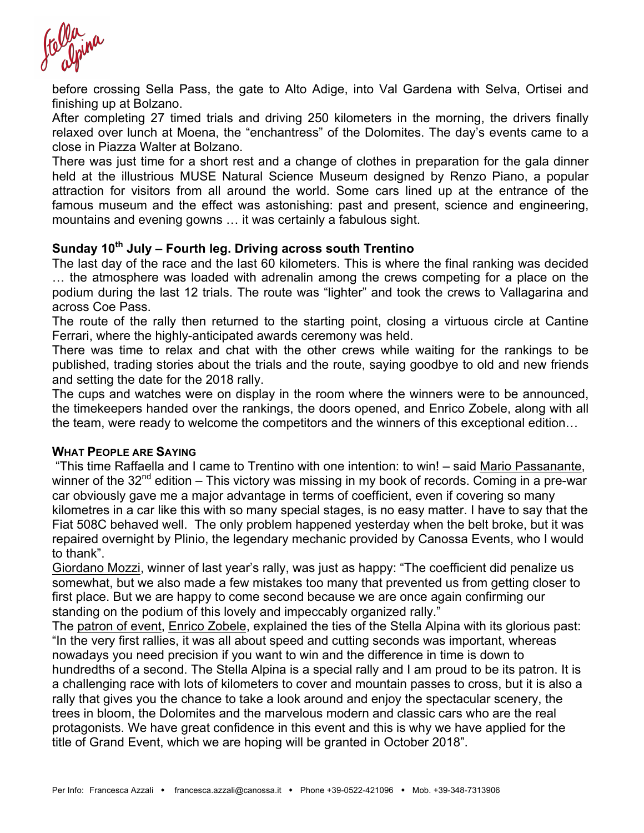before crossing Sella Pass, the gate to Alto Adige, into Val Gardena with Selva, Ortisei and finishing up at Bolzano.

After completing 27 timed trials and driving 250 kilometers in the morning, the drivers finally relaxed over lunch at Moena, the "enchantress" of the Dolomites. The day's events came to a close in Piazza Walter at Bolzano.

There was just time for a short rest and a change of clothes in preparation for the gala dinner held at the illustrious MUSE Natural Science Museum designed by Renzo Piano, a popular attraction for visitors from all around the world. Some cars lined up at the entrance of the famous museum and the effect was astonishing: past and present, science and engineering, mountains and evening gowns … it was certainly a fabulous sight.

# **Sunday 10th July – Fourth leg. Driving across south Trentino**

The last day of the race and the last 60 kilometers. This is where the final ranking was decided … the atmosphere was loaded with adrenalin among the crews competing for a place on the podium during the last 12 trials. The route was "lighter" and took the crews to Vallagarina and across Coe Pass.

The route of the rally then returned to the starting point, closing a virtuous circle at Cantine Ferrari, where the highly-anticipated awards ceremony was held.

There was time to relax and chat with the other crews while waiting for the rankings to be published, trading stories about the trials and the route, saying goodbye to old and new friends and setting the date for the 2018 rally.

The cups and watches were on display in the room where the winners were to be announced, the timekeepers handed over the rankings, the doors opened, and Enrico Zobele, along with all the team, were ready to welcome the competitors and the winners of this exceptional edition…

#### **WHAT PEOPLE ARE SAYING**

"This time Raffaella and I came to Trentino with one intention: to win! – said Mario Passanante, winner of the  $32<sup>nd</sup>$  edition – This victory was missing in my book of records. Coming in a pre-war car obviously gave me a major advantage in terms of coefficient, even if covering so many kilometres in a car like this with so many special stages, is no easy matter. I have to say that the Fiat 508C behaved well. The only problem happened yesterday when the belt broke, but it was repaired overnight by Plinio, the legendary mechanic provided by Canossa Events, who I would to thank".

Giordano Mozzi, winner of last year's rally, was just as happy: "The coefficient did penalize us somewhat, but we also made a few mistakes too many that prevented us from getting closer to first place. But we are happy to come second because we are once again confirming our standing on the podium of this lovely and impeccably organized rally."

The patron of event, Enrico Zobele, explained the ties of the Stella Alpina with its glorious past: "In the very first rallies, it was all about speed and cutting seconds was important, whereas nowadays you need precision if you want to win and the difference in time is down to hundredths of a second. The Stella Alpina is a special rally and I am proud to be its patron. It is a challenging race with lots of kilometers to cover and mountain passes to cross, but it is also a rally that gives you the chance to take a look around and enjoy the spectacular scenery, the trees in bloom, the Dolomites and the marvelous modern and classic cars who are the real protagonists. We have great confidence in this event and this is why we have applied for the title of Grand Event, which we are hoping will be granted in October 2018".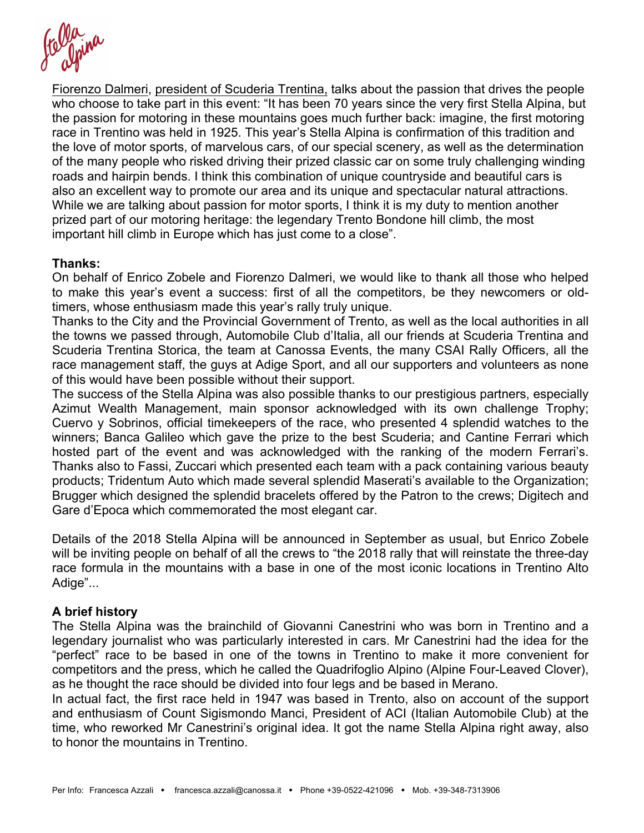Fiorenzo Dalmeri, president of Scuderia Trentina, talks about the passion that drives the people who choose to take part in this event: "It has been 70 years since the very first Stella Alpina, but the passion for motoring in these mountains goes much further back: imagine, the first motoring race in Trentino was held in 1925. This year's Stella Alpina is confirmation of this tradition and the love of motor sports, of marvelous cars, of our special scenery, as well as the determination of the many people who risked driving their prized classic car on some truly challenging winding roads and hairpin bends. I think this combination of unique countryside and beautiful cars is also an excellent way to promote our area and its unique and spectacular natural attractions. While we are talking about passion for motor sports, I think it is my duty to mention another prized part of our motoring heritage: the legendary Trento Bondone hill climb, the most important hill climb in Europe which has just come to a close".

#### **Thanks:**

On behalf of Enrico Zobele and Fiorenzo Dalmeri, we would like to thank all those who helped to make this year's event a success: first of all the competitors, be they newcomers or oldtimers, whose enthusiasm made this year's rally truly unique.

Thanks to the City and the Provincial Government of Trento, as well as the local authorities in all the towns we passed through, Automobile Club d'Italia, all our friends at Scuderia Trentina and Scuderia Trentina Storica, the team at Canossa Events, the many CSAI Rally Officers, all the race management staff, the guys at Adige Sport, and all our supporters and volunteers as none of this would have been possible without their support.

The success of the Stella Alpina was also possible thanks to our prestigious partners, especially Azimut Wealth Management, main sponsor acknowledged with its own challenge Trophy; Cuervo y Sobrinos, official timekeepers of the race, who presented 4 splendid watches to the winners; Banca Galileo which gave the prize to the best Scuderia; and Cantine Ferrari which hosted part of the event and was acknowledged with the ranking of the modern Ferrari's. Thanks also to Fassi, Zuccari which presented each team with a pack containing various beauty products; Tridentum Auto which made several splendid Maserati's available to the Organization; Brugger which designed the splendid bracelets offered by the Patron to the crews; Digitech and Gare d'Epoca which commemorated the most elegant car.

Details of the 2018 Stella Alpina will be announced in September as usual, but Enrico Zobele will be inviting people on behalf of all the crews to "the 2018 rally that will reinstate the three-day race formula in the mountains with a base in one of the most iconic locations in Trentino Alto Adige"...

#### **A brief history**

The Stella Alpina was the brainchild of Giovanni Canestrini who was born in Trentino and a legendary journalist who was particularly interested in cars. Mr Canestrini had the idea for the "perfect" race to be based in one of the towns in Trentino to make it more convenient for competitors and the press, which he called the Quadrifoglio Alpino (Alpine Four-Leaved Clover), as he thought the race should be divided into four legs and be based in Merano.

In actual fact, the first race held in 1947 was based in Trento, also on account of the support and enthusiasm of Count Sigismondo Manci, President of ACI (Italian Automobile Club) at the time, who reworked Mr Canestrini's original idea. It got the name Stella Alpina right away, also to honor the mountains in Trentino.